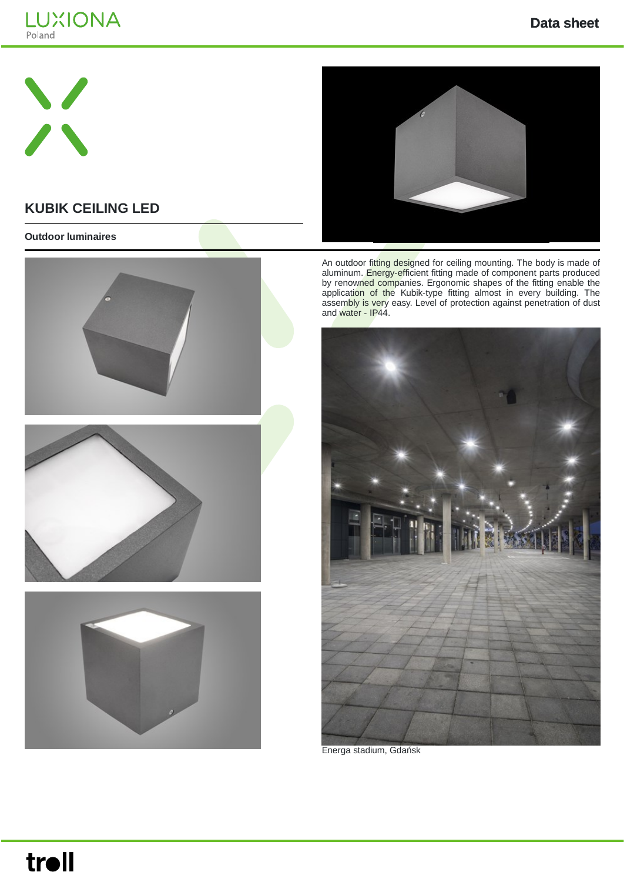



## **KUBIK CEILING LED**

#### **Outdoor luminaires**









An outdoor fitting designed for ceiling mounting. The body is made of aluminum. Energy-efficient fitting made of component parts produced by renowned companies. Ergonomic shapes of the fitting enable the application of the Kubik-type fitting almost in every building. The assembly is very easy. Level of protection against penetration of dust and water - IP44.



Energa stadium, Gdańsk